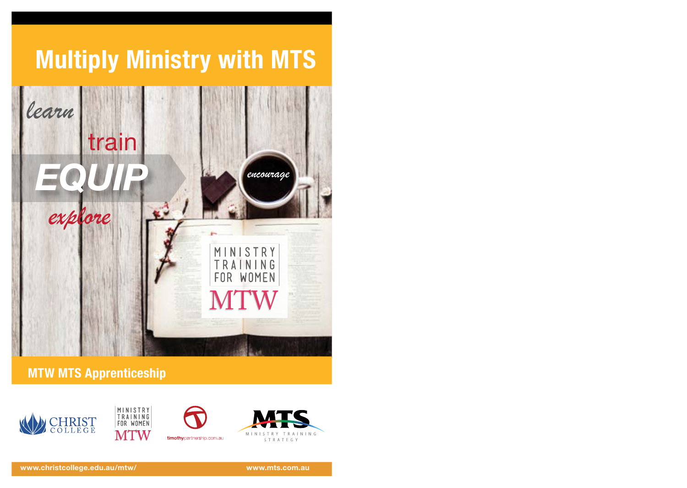

**MTW MTS Apprenticeship**





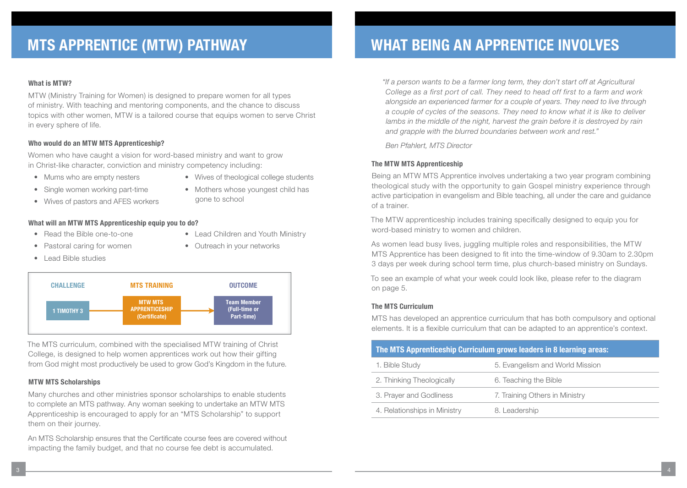### **What is MTW?**

MTW (Ministry Training for Women) is designed to prepare women for all types of ministry. With teaching and mentoring components, and the chance to discuss topics with other women, MTW is a tailored course that equips women to serve Christ in every sphere of life.

### **Who would do an MTW MTS Apprenticeship?**

Women who have caught a vision for word-based ministry and want to grow in Christ-like character, conviction and ministry competency including:

- Mums who are empty nesters
- Wives of theological college students
- Single women working part-time
- Wives of pastors and AFES workers
- Mothers whose youngest child has gone to school

• Lead Children and Youth Ministry

• Outreach in your networks

- **What will an MTW MTS Apprenticeship equip you to do?**
- Read the Bible one-to-one
- Pastoral caring for women
- Lead Bible studies



The MTS curriculum, combined with the specialised MTW training of Christ College, is designed to help women apprentices work out how their gifting from God might most productively be used to grow God's Kingdom in the future.

### **MTW MTS Scholarships**

Many churches and other ministries sponsor scholarships to enable students to complete an MTS pathway. Any woman seeking to undertake an MTW MTS Apprenticeship is encouraged to apply for an "MTS Scholarship" to support them on their journey.

An MTS Scholarship ensures that the Certificate course fees are covered without impacting the family budget, and that no course fee debt is accumulated.

*"If a person wants to be a farmer long term, they don't start off at Agricultural College as a first port of call. They need to head off first to a farm and work alongside an experienced farmer for a couple of years. They need to live through a couple of cycles of the seasons. They need to know what it is like to deliver*  lambs in the middle of the night, harvest the grain before it is destroyed by rain *and grapple with the blurred boundaries between work and rest."* 

*Ben Pfahlert, MTS Director*

### **The MTW MTS Apprenticeship**

Being an MTW MTS Apprentice involves undertaking a two year program combining theological study with the opportunity to gain Gospel ministry experience through active participation in evangelism and Bible teaching, all under the care and guidance of a trainer.

The MTW apprenticeship includes training specifically designed to equip you for word-based ministry to women and children.

As women lead busy lives, juggling multiple roles and responsibilities, the MTW MTS Apprentice has been designed to fit into the time-window of 9.30am to 2.30pm 3 days per week during school term time, plus church-based ministry on Sundays.

To see an example of what your week could look like, please refer to the diagram on page 5.

### **The MTS Curriculum**

MTS has developed an apprentice curriculum that has both compulsory and optional elements. It is a flexible curriculum that can be adapted to an apprentice's context.

| The MTS Apprenticeship Curriculum grows leaders in 8 learning areas: |                                 |  |
|----------------------------------------------------------------------|---------------------------------|--|
| 1. Bible Study                                                       | 5. Evangelism and World Mission |  |
| 2. Thinking Theologically                                            | 6. Teaching the Bible           |  |
| 3. Prayer and Godliness                                              | 7. Training Others in Ministry  |  |
| 4. Relationships in Ministry                                         | 8. Leadership                   |  |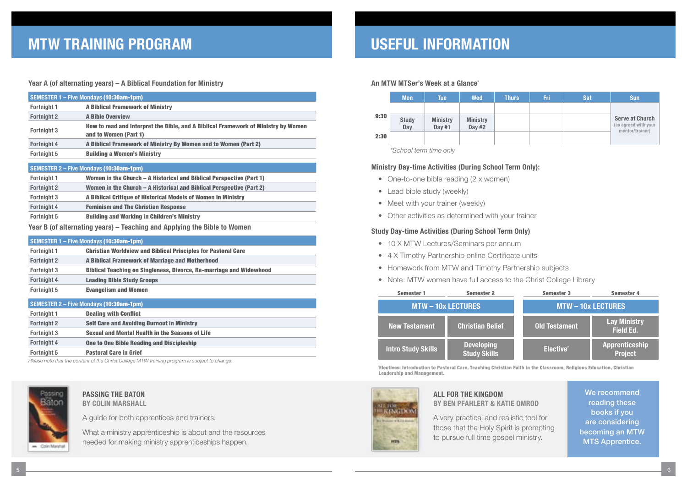### **Year A (of alternating years) – A Biblical Foundation for Ministry**

|                    | SEMESTER 1 - Five Mondays (10:30am-1pm)                                                                     |
|--------------------|-------------------------------------------------------------------------------------------------------------|
| <b>Fortnight 1</b> | <b>A Biblical Framework of Ministry</b>                                                                     |
| <b>Fortnight 2</b> | <b>A Bible Overview</b>                                                                                     |
| <b>Fortnight 3</b> | How to read and Interpret the Bible, and A Biblical Framework of Ministry by Women<br>and to Women (Part 1) |
| <b>Fortnight 4</b> | A Biblical Framework of Ministry By Women and to Women (Part 2)                                             |
| <b>Fortnight 5</b> | <b>Building a Women's Ministry</b>                                                                          |
|                    | <b>SEMESTER 2 – Five Mondays (10:30am-1pm)</b>                                                              |
| <b>Fortnight 1</b> | Women in the Church – A Historical and Biblical Perspective (Part 1)                                        |
| <b>Fortnight 2</b> | Women in the Church – A Historical and Biblical Perspective (Part 2)                                        |
| <b>Fortnight 3</b> | A Biblical Critique of Historical Models of Women in Ministry                                               |

**Fortnight 4** Feminism and The Christian Response **Fortnight 5** Building and Working in Children's Ministry

**Year B (of alternating years) – Teaching and Applying the Bible to Women**

| <b>SEMESTER 1 - Five Mondays (10:30am-1pm)</b> |                                                                            |  |
|------------------------------------------------|----------------------------------------------------------------------------|--|
| Fortnight 1                                    | <b>Christian Worldview and Biblical Principles for Pastoral Care</b>       |  |
| <b>Fortnight 2</b>                             | A Biblical Framework of Marriage and Motherhood                            |  |
| Fortnight 3                                    | <b>Biblical Teaching on Singleness, Divorce, Re-marriage and Widowhood</b> |  |
| <b>Fortnight 4</b>                             | <b>Leading Bible Study Groups</b>                                          |  |
| Fortnight 5                                    | <b>Evangelism and Women</b>                                                |  |

### **SEMESTER 2 – Five Mondays** (10:30am-1pm)

| Fortnight 1        | <b>Dealing with Conflict</b>                           |
|--------------------|--------------------------------------------------------|
| <b>Fortnight 2</b> | <b>Self Care and Avoiding Burnout in Ministry</b>      |
| <b>Fortnight 3</b> | <b>Sexual and Mental Health in the Seasons of Life</b> |
| <b>Fortnight 4</b> | One to One Bible Reading and Discipleship              |
| <b>Fortnight 5</b> | <b>Pastoral Care in Grief</b>                          |

*Please note that the content of the Christ College MTW training program is subject to change.*



### **PASSING THE BATON BY COLIN MARSHALL**

A guide for both apprentices and trainers.

What a ministry apprenticeship is about and the resources needed for making ministry apprenticeships happen.

### **USEFUL INFORMATION**

### **An MTW MTSer's Week at a Glance\***

|      | <b>Mon</b>          | Tue                       | <b>Wed</b>                | <b>Thurs</b> | Fri | Sat | <b>Sun</b>                                                        |
|------|---------------------|---------------------------|---------------------------|--------------|-----|-----|-------------------------------------------------------------------|
|      |                     |                           |                           |              |     |     |                                                                   |
| 9:30 | <b>Study</b><br>Day | <b>Ministry</b><br>Day #1 | <b>Ministry</b><br>Day #2 |              |     |     | <b>Serve at Church</b><br>(as agreed with your<br>mentor/trainer) |
| 2:30 |                     |                           |                           |              |     |     |                                                                   |

*\*School term time only*

### **Ministry Day-time Activities (During School Term Only):**

- One-to-one bible reading (2 x women)
- Lead bible study (weekly)
- Meet with your trainer (weekly)
- Other activities as determined with your trainer

### **Study Day-time Activities (During School Term Only)**

- 10 X MTW Lectures/Seminars per annum
- 4 X Timothy Partnership online Certificate units
- Homework from MTW and Timothy Partnership subjects
- Note: MTW women have full access to the Christ College Library

| <b>Semester 1</b>         | <b>Semester 2</b>                        | <b>Semester 3</b>       | <b>Semester 4</b>                       |
|---------------------------|------------------------------------------|-------------------------|-----------------------------------------|
| <b>MTW-10x LECTURES</b>   |                                          | <b>MTW-10x LECTURES</b> |                                         |
| <b>New Testament</b>      | <b>Christian Belief</b>                  | <b>Old Testament</b>    | <b>Lay Ministry</b><br><b>Field Ed.</b> |
| <b>Intro Study Skills</b> | <b>Developing</b><br><b>Study Skills</b> | Elective <sup>*</sup>   | Apprenticeship<br><b>Project</b>        |

\* Electives: Introduction to Pastoral Care, Teaching Christian Faith in the Classroom, Religious Education, Christian Leadership and Management.



### **ALL FOR THE KINGDOM BY BEN PFAHLERT & KATIE OMROD**

A very practical and realistic tool for those that the Holy Spirit is prompting to pursue full time gospel ministry.

We recommend reading these books if you are considering becoming an MTW MTS Apprentice.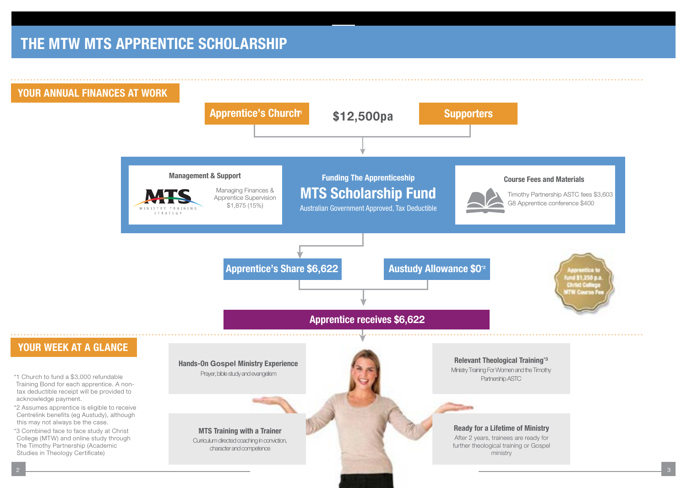## **THE MTW MTS APPRENTICE SCHOLARSHIP**